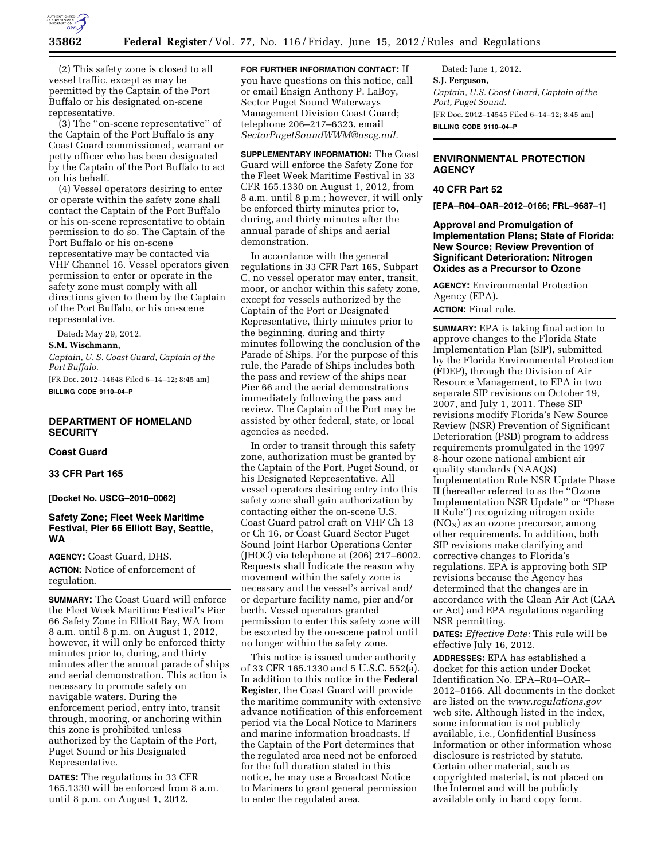

(2) This safety zone is closed to all vessel traffic, except as may be permitted by the Captain of the Port Buffalo or his designated on-scene representative.

(3) The ''on-scene representative'' of the Captain of the Port Buffalo is any Coast Guard commissioned, warrant or petty officer who has been designated by the Captain of the Port Buffalo to act on his behalf.

(4) Vessel operators desiring to enter or operate within the safety zone shall contact the Captain of the Port Buffalo or his on-scene representative to obtain permission to do so. The Captain of the Port Buffalo or his on-scene representative may be contacted via VHF Channel 16. Vessel operators given permission to enter or operate in the safety zone must comply with all directions given to them by the Captain of the Port Buffalo, or his on-scene representative.

Dated: May 29, 2012.

**S.M. Wischmann,** 

*Captain, U. S. Coast Guard, Captain of the Port Buffalo.* 

[FR Doc. 2012–14648 Filed 6–14–12; 8:45 am] **BILLING CODE 9110–04–P** 

## **DEPARTMENT OF HOMELAND SECURITY**

## **Coast Guard**

## **33 CFR Part 165**

**[Docket No. USCG–2010–0062]** 

## **Safety Zone; Fleet Week Maritime Festival, Pier 66 Elliott Bay, Seattle, WA**

**AGENCY:** Coast Guard, DHS. **ACTION:** Notice of enforcement of regulation.

**SUMMARY:** The Coast Guard will enforce the Fleet Week Maritime Festival's Pier 66 Safety Zone in Elliott Bay, WA from 8 a.m. until 8 p.m. on August 1, 2012, however, it will only be enforced thirty minutes prior to, during, and thirty minutes after the annual parade of ships and aerial demonstration. This action is necessary to promote safety on navigable waters. During the enforcement period, entry into, transit through, mooring, or anchoring within this zone is prohibited unless authorized by the Captain of the Port, Puget Sound or his Designated Representative.

**DATES:** The regulations in 33 CFR 165.1330 will be enforced from 8 a.m. until 8 p.m. on August 1, 2012.

**FOR FURTHER INFORMATION CONTACT:** If you have questions on this notice, call or email Ensign Anthony P. LaBoy, Sector Puget Sound Waterways Management Division Coast Guard; telephone 206–217–6323, email *[SectorPugetSoundWWM@uscg.mil.](mailto:SectorPugetSoundWWM@uscg.mil)* 

**SUPPLEMENTARY INFORMATION:** The Coast Guard will enforce the Safety Zone for the Fleet Week Maritime Festival in 33 CFR 165.1330 on August 1, 2012, from 8 a.m. until 8 p.m.; however, it will only be enforced thirty minutes prior to, during, and thirty minutes after the annual parade of ships and aerial demonstration.

In accordance with the general regulations in 33 CFR Part 165, Subpart C, no vessel operator may enter, transit, moor, or anchor within this safety zone, except for vessels authorized by the Captain of the Port or Designated Representative, thirty minutes prior to the beginning, during and thirty minutes following the conclusion of the Parade of Ships. For the purpose of this rule, the Parade of Ships includes both the pass and review of the ships near Pier 66 and the aerial demonstrations immediately following the pass and review. The Captain of the Port may be assisted by other federal, state, or local agencies as needed.

In order to transit through this safety zone, authorization must be granted by the Captain of the Port, Puget Sound, or his Designated Representative. All vessel operators desiring entry into this safety zone shall gain authorization by contacting either the on-scene U.S. Coast Guard patrol craft on VHF Ch 13 or Ch 16, or Coast Guard Sector Puget Sound Joint Harbor Operations Center (JHOC) via telephone at (206) 217–6002. Requests shall Indicate the reason why movement within the safety zone is necessary and the vessel's arrival and/ or departure facility name, pier and/or berth. Vessel operators granted permission to enter this safety zone will be escorted by the on-scene patrol until no longer within the safety zone.

This notice is issued under authority of 33 CFR 165.1330 and 5 U.S.C. 552(a). In addition to this notice in the **Federal Register**, the Coast Guard will provide the maritime community with extensive advance notification of this enforcement period via the Local Notice to Mariners and marine information broadcasts. If the Captain of the Port determines that the regulated area need not be enforced for the full duration stated in this notice, he may use a Broadcast Notice to Mariners to grant general permission to enter the regulated area.

Dated: June 1, 2012. **S.J. Ferguson,**  *Captain, U.S. Coast Guard, Captain of the Port, Puget Sound.*  [FR Doc. 2012–14545 Filed 6–14–12; 8:45 am] **BILLING CODE 9110–04–P** 

# **ENVIRONMENTAL PROTECTION AGENCY**

# **40 CFR Part 52**

**[EPA–R04–OAR–2012–0166; FRL–9687–1]** 

## **Approval and Promulgation of Implementation Plans; State of Florida: New Source; Review Prevention of Significant Deterioration: Nitrogen Oxides as a Precursor to Ozone**

**AGENCY:** Environmental Protection Agency (EPA). **ACTION:** Final rule.

**SUMMARY:** EPA is taking final action to approve changes to the Florida State Implementation Plan (SIP), submitted by the Florida Environmental Protection (FDEP), through the Division of Air Resource Management, to EPA in two separate SIP revisions on October 19, 2007, and July 1, 2011. These SIP revisions modify Florida's New Source Review (NSR) Prevention of Significant Deterioration (PSD) program to address requirements promulgated in the 1997 8-hour ozone national ambient air quality standards (NAAQS) Implementation Rule NSR Update Phase II (hereafter referred to as the ''Ozone Implementation NSR Update'' or ''Phase II Rule'') recognizing nitrogen oxide  $(NO<sub>X</sub>)$  as an ozone precursor, among other requirements. In addition, both SIP revisions make clarifying and corrective changes to Florida's regulations. EPA is approving both SIP revisions because the Agency has determined that the changes are in accordance with the Clean Air Act (CAA or Act) and EPA regulations regarding NSR permitting.

**DATES:** *Effective Date:* This rule will be effective July 16, 2012.

**ADDRESSES:** EPA has established a docket for this action under Docket Identification No. EPA–R04–OAR– 2012–0166. All documents in the docket are listed on the *[www.regulations.gov](http://www.regulations.gov)*  web site. Although listed in the index, some information is not publicly available, i.e., Confidential Business Information or other information whose disclosure is restricted by statute. Certain other material, such as copyrighted material, is not placed on the Internet and will be publicly available only in hard copy form.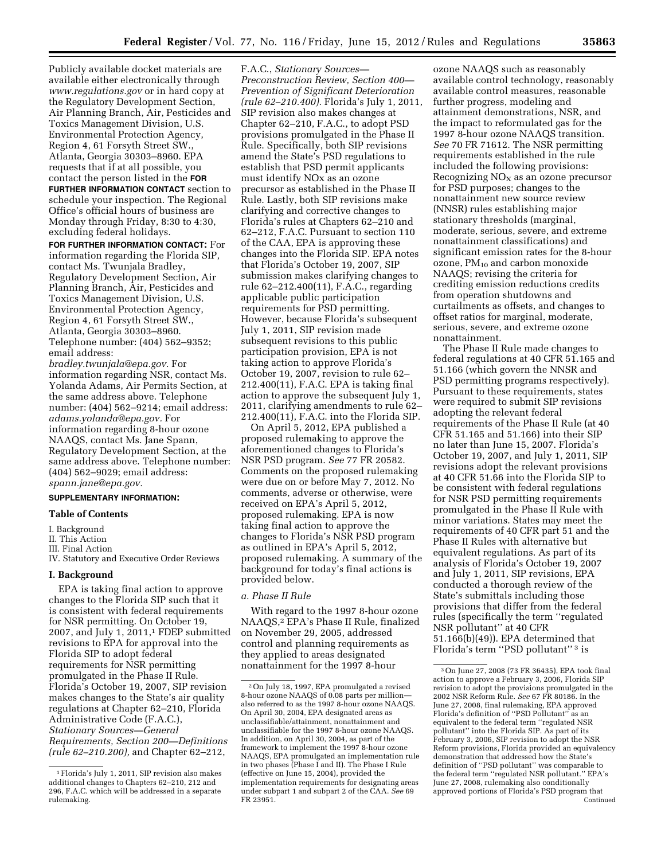Publicly available docket materials are available either electronically through *[www.regulations.gov](http://www.regulations.gov)* or in hard copy at the Regulatory Development Section, Air Planning Branch, Air, Pesticides and Toxics Management Division, U.S. Environmental Protection Agency, Region 4, 61 Forsyth Street SW., Atlanta, Georgia 30303–8960. EPA requests that if at all possible, you contact the person listed in the **FOR FURTHER INFORMATION CONTACT** section to schedule your inspection. The Regional Office's official hours of business are Monday through Friday, 8:30 to 4:30, excluding federal holidays.

**FOR FURTHER INFORMATION CONTACT:** For information regarding the Florida SIP, contact Ms. Twunjala Bradley, Regulatory Development Section, Air Planning Branch, Air, Pesticides and Toxics Management Division, U.S. Environmental Protection Agency, Region 4, 61 Forsyth Street SW., Atlanta, Georgia 30303–8960. Telephone number: (404) 562–9352; email address:

*[bradley.twunjala@epa.gov.](mailto:bradley.twunjala@epa.gov)* For information regarding NSR, contact Ms. Yolanda Adams, Air Permits Section, at the same address above. Telephone number: (404) 562–9214; email address: *[adams.yolanda@epa.gov.](mailto:adams.yolanda@epa.gov)* For information regarding 8-hour ozone NAAQS, contact Ms. Jane Spann, Regulatory Development Section, at the same address above. Telephone number: (404) 562–9029; email address: *[spann.jane@epa.gov.](mailto:spann.jane@epa.gov)* 

### **SUPPLEMENTARY INFORMATION:**

## **Table of Contents**

I. Background

III. Final Action

# IV. Statutory and Executive Order Reviews

#### **I. Background**

EPA is taking final action to approve changes to the Florida SIP such that it is consistent with federal requirements for NSR permitting. On October 19, 2007, and July 1, 2011,1 FDEP submitted revisions to EPA for approval into the Florida SIP to adopt federal requirements for NSR permitting promulgated in the Phase II Rule. Florida's October 19, 2007, SIP revision makes changes to the State's air quality regulations at Chapter 62–210, Florida Administrative Code (F.A.C.), *Stationary Sources—General Requirements, Section 200—Definitions (rule 62–210.200),* and Chapter 62–212,

F.A.C., *Stationary Sources— Preconstruction Review, Section 400— Prevention of Significant Deterioration (rule 62–210.400).* Florida's July 1, 2011, SIP revision also makes changes at Chapter 62–210, F.A.C., to adopt PSD provisions promulgated in the Phase II Rule. Specifically, both SIP revisions amend the State's PSD regulations to establish that PSD permit applicants must identify NOx as an ozone precursor as established in the Phase II Rule. Lastly, both SIP revisions make clarifying and corrective changes to Florida's rules at Chapters 62–210 and 62–212, F.A.C. Pursuant to section 110 of the CAA, EPA is approving these changes into the Florida SIP. EPA notes that Florida's October 19, 2007, SIP submission makes clarifying changes to rule 62–212.400(11), F.A.C., regarding applicable public participation requirements for PSD permitting. However, because Florida's subsequent July 1, 2011, SIP revision made subsequent revisions to this public participation provision, EPA is not taking action to approve Florida's October 19, 2007, revision to rule 62– 212.400(11), F.A.C. EPA is taking final action to approve the subsequent July 1, 2011, clarifying amendments to rule 62– 212.400(11), F.A.C. into the Florida SIP.

On April 5, 2012, EPA published a proposed rulemaking to approve the aforementioned changes to Florida's NSR PSD program. *See* 77 FR 20582. Comments on the proposed rulemaking were due on or before May 7, 2012. No comments, adverse or otherwise, were received on EPA's April 5, 2012, proposed rulemaking. EPA is now taking final action to approve the changes to Florida's NSR PSD program as outlined in EPA's April 5, 2012, proposed rulemaking. A summary of the background for today's final actions is provided below.

### *a. Phase II Rule*

With regard to the 1997 8-hour ozone NAAQS,2 EPA's Phase II Rule, finalized on November 29, 2005, addressed control and planning requirements as they applied to areas designated nonattainment for the 1997 8-hour

ozone NAAQS such as reasonably available control technology, reasonably available control measures, reasonable further progress, modeling and attainment demonstrations, NSR, and the impact to reformulated gas for the 1997 8-hour ozone NAAQS transition. *See* 70 FR 71612. The NSR permitting requirements established in the rule included the following provisions: Recognizing  $NO<sub>x</sub>$  as an ozone precursor for PSD purposes; changes to the nonattainment new source review (NNSR) rules establishing major stationary thresholds (marginal, moderate, serious, severe, and extreme nonattainment classifications) and significant emission rates for the 8-hour ozone,  $PM_{10}$  and carbon monoxide NAAQS; revising the criteria for crediting emission reductions credits from operation shutdowns and curtailments as offsets, and changes to offset ratios for marginal, moderate, serious, severe, and extreme ozone nonattainment.

The Phase II Rule made changes to federal regulations at 40 CFR 51.165 and 51.166 (which govern the NNSR and PSD permitting programs respectively). Pursuant to these requirements, states were required to submit SIP revisions adopting the relevant federal requirements of the Phase II Rule (at 40 CFR 51.165 and 51.166) into their SIP no later than June 15, 2007. Florida's October 19, 2007, and July 1, 2011, SIP revisions adopt the relevant provisions at 40 CFR 51.66 into the Florida SIP to be consistent with federal regulations for NSR PSD permitting requirements promulgated in the Phase II Rule with minor variations. States may meet the requirements of 40 CFR part 51 and the Phase II Rules with alternative but equivalent regulations. As part of its analysis of Florida's October 19, 2007 and July 1, 2011, SIP revisions, EPA conducted a thorough review of the State's submittals including those provisions that differ from the federal rules (specifically the term ''regulated NSR pollutant'' at 40 CFR 51.166(b)(49)). EPA determined that Florida's term ''PSD pollutant'' 3 is

II. This Action

<sup>1</sup>Florida's July 1, 2011, SIP revision also makes additional changes to Chapters 62–210, 212 and 296, F.A.C. which will be addressed in a separate rulemaking.

<sup>2</sup>On July 18, 1997, EPA promulgated a revised 8-hour ozone NAAQS of 0.08 parts per million also referred to as the 1997 8-hour ozone NAAQS. On April 30, 2004, EPA designated areas as unclassifiable/attainment, nonattainment and unclassifiable for the 1997 8-hour ozone NAAQS. In addition, on April 30, 2004, as part of the framework to implement the 1997 8-hour ozone NAAQS, EPA promulgated an implementation rule in two phases (Phase I and II). The Phase I Rule (effective on June 15, 2004), provided the implementation requirements for designating areas under subpart 1 and subpart 2 of the CAA. *See* 69 FR 23951.

<sup>3</sup>On June 27, 2008 (73 FR 36435), EPA took final action to approve a February 3, 2006, Florida SIP revision to adopt the provisions promulgated in the 2002 NSR Reform Rule. *See* 67 FR 80186. In the June 27, 2008, final rulemaking, EPA approved Florida's definition of ''PSD Pollutant'' as an equivalent to the federal term ''regulated NSR pollutant'' into the Florida SIP. As part of its February 3, 2006, SIP revision to adopt the NSR Reform provisions, Florida provided an equivalency demonstration that addressed how the State's definition of ''PSD pollutant'' was comparable to the federal term ''regulated NSR pollutant.'' EPA's June 27, 2008, rulemaking also conditionally approved portions of Florida's PSD program that Continued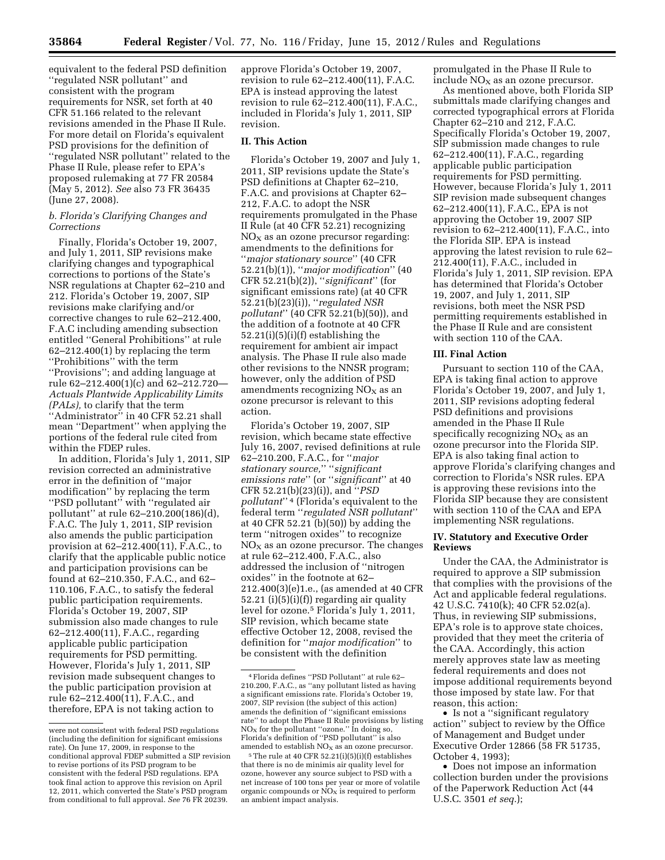equivalent to the federal PSD definition ''regulated NSR pollutant'' and consistent with the program requirements for NSR, set forth at 40 CFR 51.166 related to the relevant revisions amended in the Phase II Rule. For more detail on Florida's equivalent PSD provisions for the definition of ''regulated NSR pollutant'' related to the Phase II Rule, please refer to EPA's proposed rulemaking at 77 FR 20584 (May 5, 2012). *See* also 73 FR 36435 (June 27, 2008).

# *b. Florida's Clarifying Changes and Corrections*

Finally, Florida's October 19, 2007, and July 1, 2011, SIP revisions make clarifying changes and typographical corrections to portions of the State's NSR regulations at Chapter 62–210 and 212. Florida's October 19, 2007, SIP revisions make clarifying and/or corrective changes to rule 62–212.400, F.A.C including amending subsection entitled ''General Prohibitions'' at rule 62–212.400(1) by replacing the term ''Prohibitions'' with the term ''Provisions''; and adding language at rule 62–212.400(1)(c) and 62–212.720— *Actuals Plantwide Applicability Limits (PALs),* to clarify that the term ''Administrator'' in 40 CFR 52.21 shall mean ''Department'' when applying the portions of the federal rule cited from within the FDEP rules.

In addition, Florida's July 1, 2011, SIP revision corrected an administrative error in the definition of ''major modification'' by replacing the term ''PSD pollutant'' with ''regulated air pollutant'' at rule 62–210.200(186)(d), F.A.C. The July 1, 2011, SIP revision also amends the public participation provision at 62–212.400(11), F.A.C., to clarify that the applicable public notice and participation provisions can be found at 62–210.350, F.A.C., and 62– 110.106, F.A.C., to satisfy the federal public participation requirements. Florida's October 19, 2007, SIP submission also made changes to rule 62–212.400(11), F.A.C., regarding applicable public participation requirements for PSD permitting. However, Florida's July 1, 2011, SIP revision made subsequent changes to the public participation provision at rule 62–212.400(11), F.A.C., and therefore, EPA is not taking action to

approve Florida's October 19, 2007, revision to rule 62–212.400(11), F.A.C. EPA is instead approving the latest revision to rule 62–212.400(11), F.A.C., included in Florida's July 1, 2011, SIP revision.

# **II. This Action**

Florida's October 19, 2007 and July 1, 2011, SIP revisions update the State's PSD definitions at Chapter 62–210, F.A.C. and provisions at Chapter 62– 212, F.A.C. to adopt the NSR requirements promulgated in the Phase II Rule (at 40 CFR 52.21) recognizing  $NO<sub>x</sub>$  as an ozone precursor regarding: amendments to the definitions for ''*major stationary source*'' (40 CFR 52.21(b)(1)), ''*major modification*'' (40 CFR 52.21(b)(2)), ''*significant*'' (for significant emissions rate) (at 40 CFR 52.21(b)(23)(i)), ''*regulated NSR pollutant*'' (40 CFR 52.21(b)(50)), and the addition of a footnote at 40 CFR 52.21(i)(5)(i)(f) establishing the requirement for ambient air impact analysis. The Phase II rule also made other revisions to the NNSR program; however, only the addition of PSD amendments recognizing  $NO<sub>x</sub>$  as an ozone precursor is relevant to this action.

Florida's October 19, 2007, SIP revision, which became state effective July 16, 2007, revised definitions at rule 62–210.200, F.A.C., for ''*major stationary source,*'' ''*significant emissions rate*'' (or ''*significant*'' at 40 CFR 52.21(b)(23)(i)), and ''*PSD pollutant*'' 4 (Florida's equivalent to the federal term ''*regulated NSR pollutant*'' at 40 CFR 52.21 (b)(50)) by adding the term ''nitrogen oxides'' to recognize  $NO<sub>x</sub>$  as an ozone precursor. The changes at rule 62–212.400, F.A.C., also addressed the inclusion of ''nitrogen oxides'' in the footnote at 62– 212.400(3)(e)1.e., (as amended at 40 CFR 52.21 (i)(5)(i)(f)) regarding air quality level for ozone.5 Florida's July 1, 2011, SIP revision, which became state effective October 12, 2008, revised the definition for ''*major modification*'' to be consistent with the definition

promulgated in the Phase II Rule to include  $NO<sub>x</sub>$  as an ozone precursor.

As mentioned above, both Florida SIP submittals made clarifying changes and corrected typographical errors at Florida Chapter 62–210 and 212, F.A.C. Specifically Florida's October 19, 2007, SIP submission made changes to rule 62–212.400(11), F.A.C., regarding applicable public participation requirements for PSD permitting. However, because Florida's July 1, 2011 SIP revision made subsequent changes 62–212.400(11), F.A.C., EPA is not approving the October 19, 2007 SIP revision to 62–212.400(11), F.A.C., into the Florida SIP. EPA is instead approving the latest revision to rule 62– 212.400(11), F.A.C., included in Florida's July 1, 2011, SIP revision. EPA has determined that Florida's October 19, 2007, and July 1, 2011, SIP revisions, both meet the NSR PSD permitting requirements established in the Phase II Rule and are consistent with section 110 of the CAA.

### **III. Final Action**

Pursuant to section 110 of the CAA, EPA is taking final action to approve Florida's October 19, 2007, and July 1, 2011, SIP revisions adopting federal PSD definitions and provisions amended in the Phase II Rule specifically recognizing  $NO<sub>x</sub>$  as an ozone precursor into the Florida SIP. EPA is also taking final action to approve Florida's clarifying changes and correction to Florida's NSR rules. EPA is approving these revisions into the Florida SIP because they are consistent with section 110 of the CAA and EPA implementing NSR regulations.

## **IV. Statutory and Executive Order Reviews**

Under the CAA, the Administrator is required to approve a SIP submission that complies with the provisions of the Act and applicable federal regulations. 42 U.S.C. 7410(k); 40 CFR 52.02(a). Thus, in reviewing SIP submissions, EPA's role is to approve state choices, provided that they meet the criteria of the CAA. Accordingly, this action merely approves state law as meeting federal requirements and does not impose additional requirements beyond those imposed by state law. For that reason, this action:

• Is not a "significant regulatory action'' subject to review by the Office of Management and Budget under Executive Order 12866 (58 FR 51735, October 4, 1993);

• Does not impose an information collection burden under the provisions of the Paperwork Reduction Act (44 U.S.C. 3501 *et seq.*);

were not consistent with federal PSD regulations (including the definition for significant emissions rate). On June 17, 2009, in response to the conditional approval FDEP submitted a SIP revision to revise portions of its PSD program to be consistent with the federal PSD regulations. EPA took final action to approve this revision on April 12, 2011, which converted the State's PSD program from conditional to full approval. *See* 76 FR 20239.

<sup>4</sup>Florida defines ''PSD Pollutant'' at rule 62– 210.200, F.A.C., as ''any pollutant listed as having a significant emissions rate. Florida's October 19, 2007, SIP revision (the subject of this action) amends the definition of ''significant emissions rate'' to adopt the Phase II Rule provisions by listing  $NO<sub>x</sub>$  for the pollutant "ozone." In doing so, Florida's definition of ''PSD pollutant'' is also amended to establish  $NO<sub>x</sub>$  as an ozone precursor.

 $5$  The rule at 40 CFR  $52.21(i)(5)(i)(f)$  establishes that there is no de minimis air quality level for ozone, however any source subject to PSD with a net increase of 100 tons per year or more of volatile organic compounds or  $\overline{NO_X}$  is required to perform an ambient impact analysis.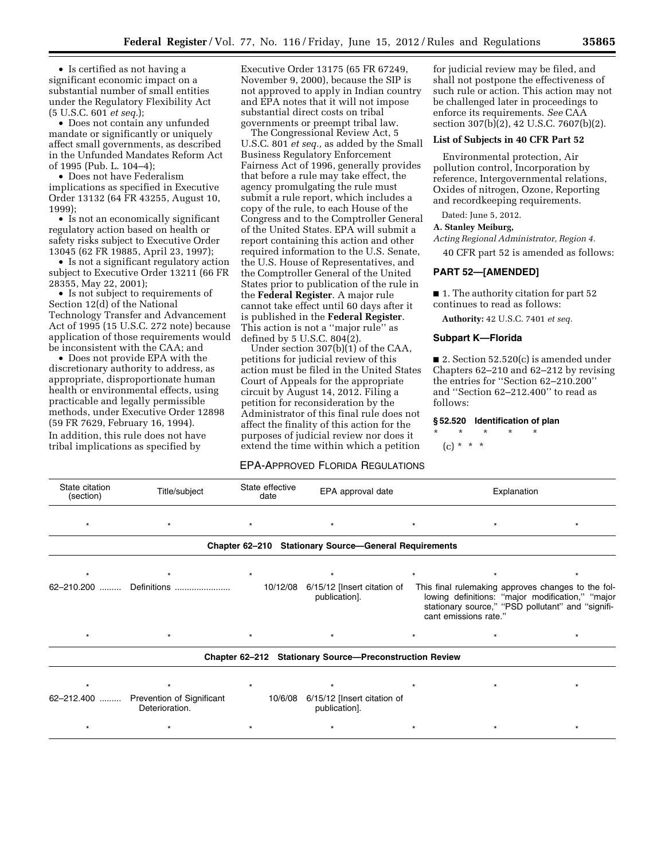• Is certified as not having a significant economic impact on a substantial number of small entities under the Regulatory Flexibility Act (5 U.S.C. 601 *et seq.*);

• Does not contain any unfunded mandate or significantly or uniquely affect small governments, as described in the Unfunded Mandates Reform Act of 1995 (Pub. L. 104–4);

• Does not have Federalism implications as specified in Executive Order 13132 (64 FR 43255, August 10, 1999);

• Is not an economically significant regulatory action based on health or safety risks subject to Executive Order 13045 (62 FR 19885, April 23, 1997);

• Is not a significant regulatory action subject to Executive Order 13211 (66 FR 28355, May 22, 2001);

• Is not subject to requirements of Section 12(d) of the National Technology Transfer and Advancement Act of 1995 (15 U.S.C. 272 note) because application of those requirements would be inconsistent with the CAA; and

• Does not provide EPA with the discretionary authority to address, as appropriate, disproportionate human health or environmental effects, using practicable and legally permissible methods, under Executive Order 12898 (59 FR 7629, February 16, 1994). In addition, this rule does not have tribal implications as specified by

Executive Order 13175 (65 FR 67249, November 9, 2000), because the SIP is not approved to apply in Indian country and EPA notes that it will not impose substantial direct costs on tribal governments or preempt tribal law.

The Congressional Review Act, 5 U.S.C. 801 *et seq.,* as added by the Small Business Regulatory Enforcement Fairness Act of 1996, generally provides that before a rule may take effect, the agency promulgating the rule must submit a rule report, which includes a copy of the rule, to each House of the Congress and to the Comptroller General of the United States. EPA will submit a report containing this action and other required information to the U.S. Senate, the U.S. House of Representatives, and the Comptroller General of the United States prior to publication of the rule in the **Federal Register**. A major rule cannot take effect until 60 days after it is published in the **Federal Register**. This action is not a ''major rule'' as defined by  $5 \text{ U.S.C. } 804(2)$ .

Under section 307(b)(1) of the CAA, petitions for judicial review of this action must be filed in the United States Court of Appeals for the appropriate circuit by August 14, 2012. Filing a petition for reconsideration by the Administrator of this final rule does not affect the finality of this action for the purposes of judicial review nor does it extend the time within which a petition

# EPA-APPROVED FLORIDA REGULATIONS

for judicial review may be filed, and shall not postpone the effectiveness of such rule or action. This action may not be challenged later in proceedings to enforce its requirements. *See* CAA section 307(b)(2), 42 U.S.C. 7607(b)(2).

### **List of Subjects in 40 CFR Part 52**

Environmental protection, Air pollution control, Incorporation by reference, Intergovernmental relations, Oxides of nitrogen, Ozone, Reporting and recordkeeping requirements.

Dated: June 5, 2012.

## **A. Stanley Meiburg,**

*Acting Regional Administrator, Region 4.*  40 CFR part 52 is amended as follows:

### **PART 52—[AMENDED]**

■ 1. The authority citation for part 52 continues to read as follows:

**Authority:** 42 U.S.C. 7401 *et seq.* 

### **Subpart K—Florida**

■ 2. Section 52.520(c) is amended under Chapters 62–210 and 62–212 by revising the entries for ''Section 62–210.200'' and ''Section 62–212.400'' to read as follows:

#### **§ 52.520 Identification of plan**

\* \* \* \* \*

 $(c) * * * *$ 

| State citation<br>(section) | Title/subject                                           | State effective<br>date | EPA approval date                                       |                       | Explanation                                                                                                                                                 |
|-----------------------------|---------------------------------------------------------|-------------------------|---------------------------------------------------------|-----------------------|-------------------------------------------------------------------------------------------------------------------------------------------------------------|
| $\star$                     |                                                         | $\star$                 | $\star$                                                 | $\star$               |                                                                                                                                                             |
|                             |                                                         |                         | Chapter 62-210 Stationary Source-General Requirements   |                       |                                                                                                                                                             |
|                             |                                                         | $\star$                 |                                                         |                       |                                                                                                                                                             |
| $62 - 210.200$              | Definitions                                             | 10/12/08                | 6/15/12 [Insert citation of<br>publication].            | cant emissions rate." | This final rulemaking approves changes to the fol-<br>lowing definitions: "major modification," "major<br>stationary source," "PSD pollutant" and "signifi- |
|                             |                                                         | $\star$                 | $\star$                                                 |                       |                                                                                                                                                             |
|                             |                                                         |                         | Chapter 62-212 Stationary Source-Preconstruction Review |                       |                                                                                                                                                             |
|                             |                                                         | $\star$                 |                                                         |                       |                                                                                                                                                             |
|                             | 62-212.400  Prevention of Significant<br>Deterioration. | 10/6/08                 | 6/15/12 [Insert citation of<br>publication].            |                       |                                                                                                                                                             |
|                             |                                                         |                         |                                                         |                       | $\star$                                                                                                                                                     |